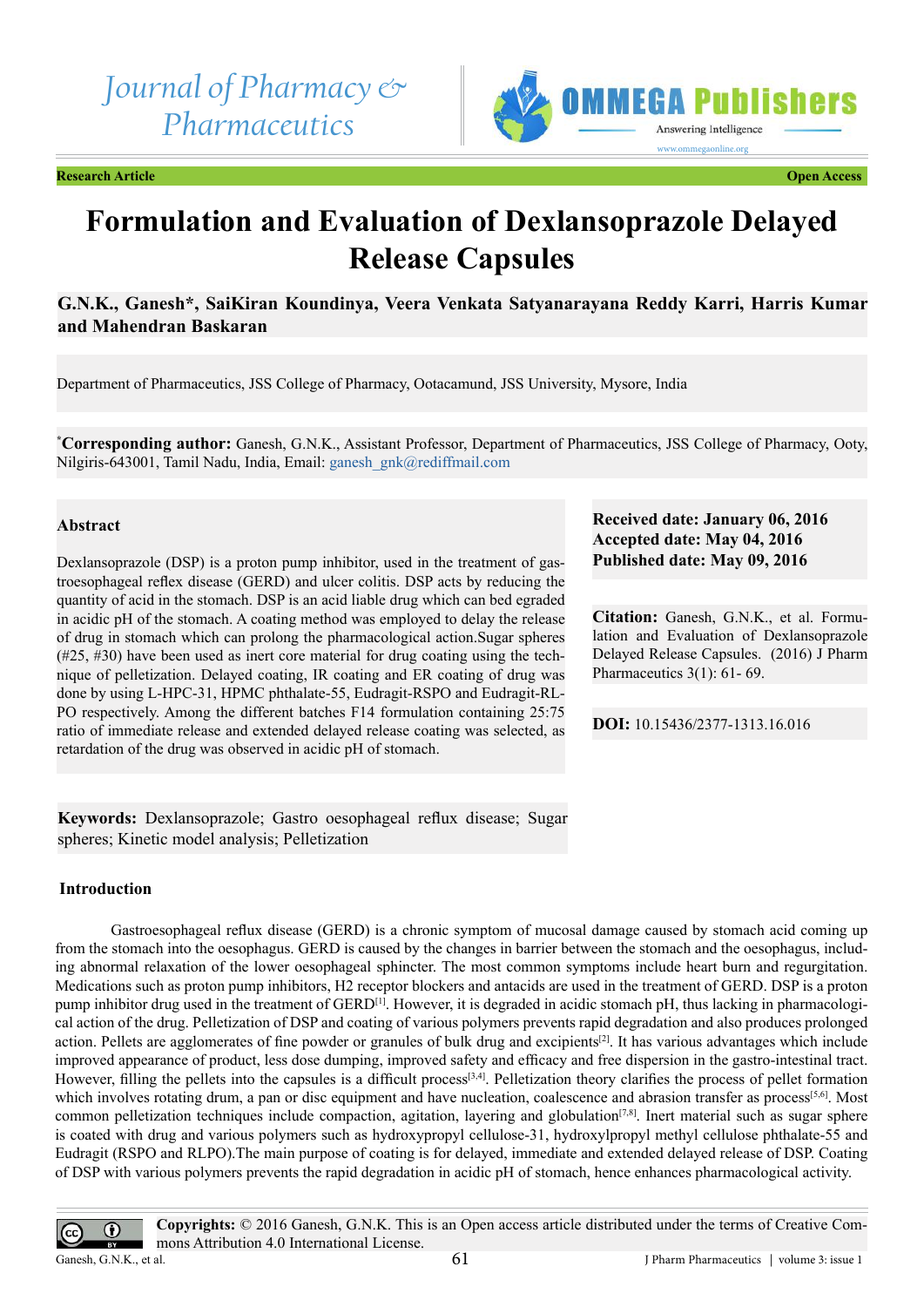*Journal of Pharmacy & Pharmaceutics*



**Research Article Open Access**

# **Formulation and Evaluation of Dexlansoprazole Delayed Release Capsules**

# **G.N.K., Ganesh\*, SaiKiran Koundinya, Veera Venkata Satyanarayana Reddy Karri, Harris Kumar and Mahendran Baskaran**

Department of Pharmaceutics, JSS College of Pharmacy, Ootacamund, JSS University, Mysore, India

**\* Corresponding author:** Ganesh, G.N.K., Assistant Professor, Department of Pharmaceutics, JSS College of Pharmacy, Ooty, Nilgiris-643001, Tamil Nadu, India, Email: [ganesh\\_gnk@rediffmail.com](mailto:ganesh_gnk@rediffmail.com)

# **Abstract**

Dexlansoprazole (DSP) is a proton pump inhibitor, used in the treatment of gastroesophageal reflex disease (GERD) and ulcer colitis. DSP acts by reducing the quantity of acid in the stomach. DSP is an acid liable drug which can bed egraded in acidic pH of the stomach. A coating method was employed to delay the release of drug in stomach which can prolong the pharmacological action.Sugar spheres (#25, #30) have been used as inert core material for drug coating using the technique of pelletization. Delayed coating, IR coating and ER coating of drug was done by using L-HPC-31, HPMC phthalate-55, Eudragit-RSPO and Eudragit-RL-PO respectively. Among the different batches F14 formulation containing 25:75 ratio of immediate release and extended delayed release coating was selected, as retardation of the drug was observed in acidic pH of stomach.

**Keywords:** Dexlansoprazole; Gastro oesophageal reflux disease; Sugar spheres; Kinetic model analysis; Pelletization

# **Introduction**

Gastroesophageal reflux disease (GERD) is a chronic symptom of mucosal damage caused by stomach acid coming up from the stomach into the oesophagus. GERD is caused by the changes in barrier between the stomach and the oesophagus, including abnormal relaxation of the lower oesophageal sphincter. The most common symptoms include heart burn and regurgitation. Medications such as proton pump inhibitors, H2 receptor blockers and antacids are used in the treatment of GERD. DSP is a proton pump inhibitor drug used in the treatment of GERD<sup>[\[1\]](#page-8-0)</sup>. However, it is degraded in acidic stomach pH, thus lacking in pharmacological action of the drug. Pelletization of DSP and coating of various polymers prevents rapid degradation and also produces prolonged action. Pellets are agglomerates of fine powder or granules of bulk drug and excipients<sup>[2]</sup>. It has various advantages which include improved appearance of product, less dose dumping, improved safety and efficacy and free dispersion in the gastro-intestinal tract. However, filling the pellets into the capsules is a difficult process<sup>[3,4]</sup>. Pelletization theory clarifies the process of pellet formation which involves rotating drum, a pan or disc equipment and have nucleation, coalescence and abrasion transfer as process<sup>[5,6]</sup>. Most common pelletization techniques include compaction, agitation, layering and globulation<sup>[\[7,8\]](#page-8-4)</sup>. Inert material such as sugar sphere is coated with drug and various polymers such as hydroxypropyl cellulose-31, hydroxylpropyl methyl cellulose phthalate-55 and Eudragit (RSPO and RLPO).The main purpose of coating is for delayed, immediate and extended delayed release of DSP. Coating of DSP with various polymers prevents the rapid degradation in acidic pH of stomach, hence enhances pharmacological activity.

**Received date: January 06, 2016 Accepted date: May 04, 2016 Published date: May 09, 2016**

**Citation:** Ganesh, G.N.K., et al. Formulation and Evaluation of Dexlansoprazole Delayed Release Capsules. (2016) J Pharm Pharmaceutics 3(1): 61- 69.

**DOI:** [10.15436/2377-1313.16.016](http://www.dx.doi.org/10.15436/2377-1313.16.016)

**Copyrights:** © 2016 Ganesh, G.N.K. This is an Open access article distributed under the terms of Creative Commons Attribution 4.0 International License.

 $\odot$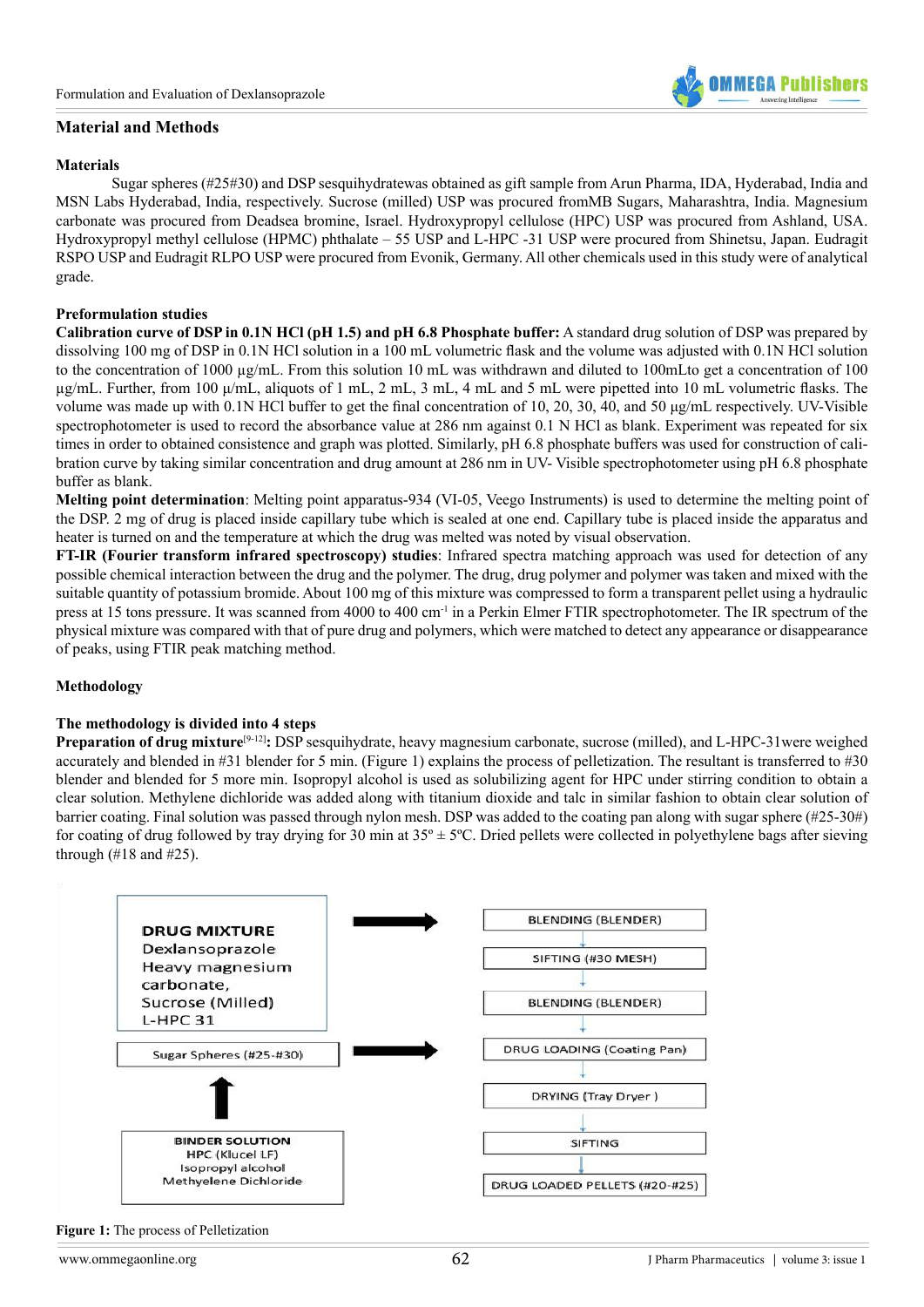# **Material and Methods**

#### **Materials**

Sugar spheres (#25#30) and DSP sesquihydratewas obtained as gift sample from Arun Pharma, IDA, Hyderabad, India and MSN Labs Hyderabad, India, respectively. Sucrose (milled) USP was procured fromMB Sugars, Maharashtra, India. Magnesium carbonate was procured from Deadsea bromine, Israel. Hydroxypropyl cellulose (HPC) USP was procured from Ashland, USA. Hydroxypropyl methyl cellulose (HPMC) phthalate – 55 USP and L-HPC -31 USP were procured from Shinetsu, Japan. Eudragit RSPO USP and Eudragit RLPO USP were procured from Evonik, Germany. All other chemicals used in this study were of analytical grade.

#### **Preformulation studies**

**Calibration curve of DSP in 0.1N HCl (pH 1.5) and pH 6.8 Phosphate buffer:** A standard drug solution of DSP was prepared by dissolving 100 mg of DSP in 0.1N HCl solution in a 100 mL volumetric flask and the volume was adjusted with 0.1N HCl solution to the concentration of 1000 µg/mL. From this solution 10 mL was withdrawn and diluted to 100mLto get a concentration of 100  $\mu$ g/mL. Further, from 100  $\mu$ /mL, aliquots of 1 mL, 2 mL, 3 mL, 4 mL and 5 mL were pipetted into 10 mL volumetric flasks. The volume was made up with 0.1N HCl buffer to get the final concentration of 10, 20, 30, 40, and 50 μg/mL respectively. UV-Visible spectrophotometer is used to record the absorbance value at 286 nm against 0.1 N HCl as blank. Experiment was repeated for six times in order to obtained consistence and graph was plotted. Similarly, pH 6.8 phosphate buffers was used for construction of calibration curve by taking similar concentration and drug amount at 286 nm in UV- Visible spectrophotometer using pH 6.8 phosphate buffer as blank.

**Melting point determination**: Melting point apparatus-934 (VI-05, Veego Instruments) is used to determine the melting point of the DSP. 2 mg of drug is placed inside capillary tube which is sealed at one end. Capillary tube is placed inside the apparatus and heater is turned on and the temperature at which the drug was melted was noted by visual observation.

**FT-IR (Fourier transform infrared spectroscopy) studies**: Infrared spectra matching approach was used for detection of any possible chemical interaction between the drug and the polymer. The drug, drug polymer and polymer was taken and mixed with the suitable quantity of potassium bromide. About 100 mg of this mixture was compressed to form a transparent pellet using a hydraulic press at 15 tons pressure. It was scanned from 4000 to 400 cm-1 in a Perkin Elmer FTIR spectrophotometer. The IR spectrum of the physical mixture was compared with that of pure drug and polymers, which were matched to detect any appearance or disappearance of peaks, using FTIR peak matching method.

#### **Methodology**

#### **The methodology is divided into 4 steps**

**Preparation of drug mixture**<sup>[\[9-12\]](#page-8-5)</sup>: DSP sesquihydrate, heavy magnesium carbonate, sucrose (milled), and L-HPC-31were weighed accurately and blended in #31 blender for 5 min. (Figure 1) explains the process of pelletization. The resultant is transferred to #30 blender and blended for 5 more min. Isopropyl alcohol is used as solubilizing agent for HPC under stirring condition to obtain a clear solution. Methylene dichloride was added along with titanium dioxide and talc in similar fashion to obtain clear solution of barrier coating. Final solution was passed through nylon mesh. DSP was added to the coating pan along with sugar sphere (#25-30#) for coating of drug followed by tray drying for 30 min at  $35^\circ \pm 5^\circ$ C. Dried pellets were collected in polyethylene bags after sieving through  $(\#18 \text{ and } \#25)$ .



**Figure 1:** The process of Pelletization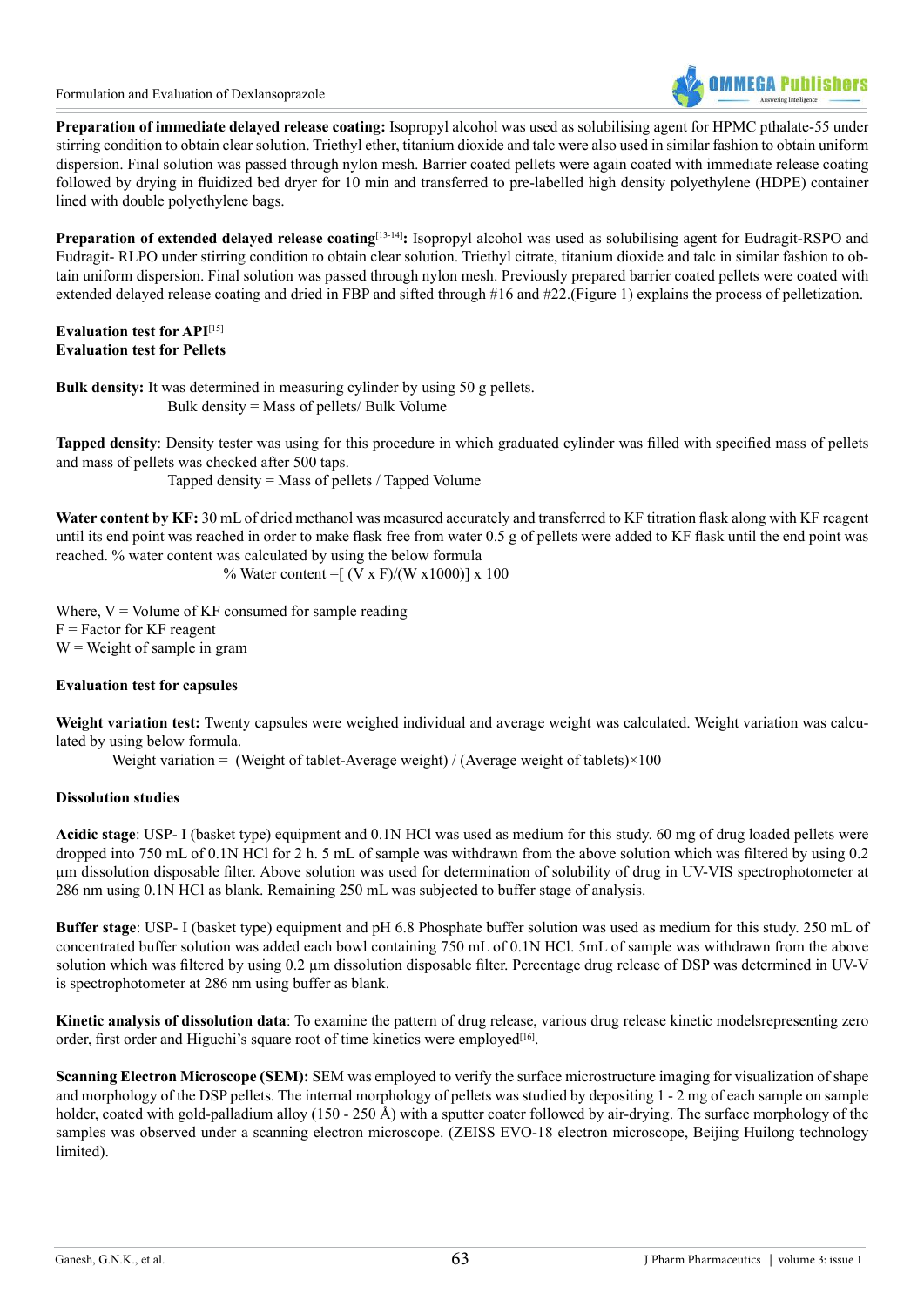

**Preparation of immediate delayed release coating:** Isopropyl alcohol was used as solubilising agent for HPMC pthalate-55 under stirring condition to obtain clear solution. Triethyl ether, titanium dioxide and talc were also used in similar fashion to obtain uniform dispersion. Final solution was passed through nylon mesh. Barrier coated pellets were again coated with immediate release coating followed by drying in fluidized bed dryer for 10 min and transferred to pre-labelled high density polyethylene (HDPE) container lined with double polyethylene bags.

**Preparation of extended delayed release coating**<sup>[\[13-14\]](#page-8-6)</sup>: Isopropyl alcohol was used as solubilising agent for Eudragit-RSPO and Eudragit- RLPO under stirring condition to obtain clear solution. Triethyl citrate, titanium dioxide and talc in similar fashion to obtain uniform dispersion. Final solution was passed through nylon mesh. Previously prepared barrier coated pellets were coated with extended delayed release coating and dried in FBP and sifted through #16 and #22.(Figure 1) explains the process of pelletization.

# **Evaluation test for API**[\[15\]](#page-8-7) **Evaluation test for Pellets**

**Bulk density:** It was determined in measuring cylinder by using 50 g pellets. Bulk density = Mass of pellets/ Bulk Volume

**Tapped density**: Density tester was using for this procedure in which graduated cylinder was filled with specified mass of pellets and mass of pellets was checked after 500 taps.

Tapped density = Mass of pellets / Tapped Volume

Water content by KF: 30 mL of dried methanol was measured accurately and transferred to KF titration flask along with KF reagent until its end point was reached in order to make flask free from water 0.5 g of pellets were added to KF flask until the end point was reached. % water content was calculated by using the below formula

% Water content =  $(V \times F)/(W \times 1000)$ ] x 100

Where,  $V =$  Volume of KF consumed for sample reading  $F = Factor for KF reagent$  $W = Weight of sample in gram$ 

# **Evaluation test for capsules**

**Weight variation test:** Twenty capsules were weighed individual and average weight was calculated. Weight variation was calculated by using below formula.

Weight variation = (Weight of tablet-Average weight) / (Average weight of tablets) $\times 100$ 

# **Dissolution studies**

**Acidic stage**: USP- I (basket type) equipment and 0.1N HCl was used as medium for this study. 60 mg of drug loaded pellets were dropped into 750 mL of 0.1N HCl for 2 h. 5 mL of sample was withdrawn from the above solution which was filtered by using 0.2 µm dissolution disposable filter. Above solution was used for determination of solubility of drug in UV-VIS spectrophotometer at 286 nm using 0.1N HCl as blank. Remaining 250 mL was subjected to buffer stage of analysis.

**Buffer stage**: USP- I (basket type) equipment and pH 6.8 Phosphate buffer solution was used as medium for this study. 250 mL of concentrated buffer solution was added each bowl containing 750 mL of 0.1N HCl. 5mL of sample was withdrawn from the above solution which was filtered by using 0.2  $\mu$ m dissolution disposable filter. Percentage drug release of DSP was determined in UV-V is spectrophotometer at 286 nm using buffer as blank.

**Kinetic analysis of dissolution data**: To examine the pattern of drug release, various drug release kinetic modelsrepresenting zero order, first order and Higuchi's square root of time kinetics were employed<sup>[16]</sup>.

**Scanning Electron Microscope (SEM):** SEM was employed to verify the surface microstructure imaging for visualization of shape and morphology of the DSP pellets. The internal morphology of pellets was studied by depositing 1 - 2 mg of each sample on sample holder, coated with gold-palladium alloy (150 - 250 Å) with a sputter coater followed by air-drying. The surface morphology of the samples was observed under a scanning electron microscope. (ZEISS EVO-18 electron microscope, Beijing Huilong technology limited).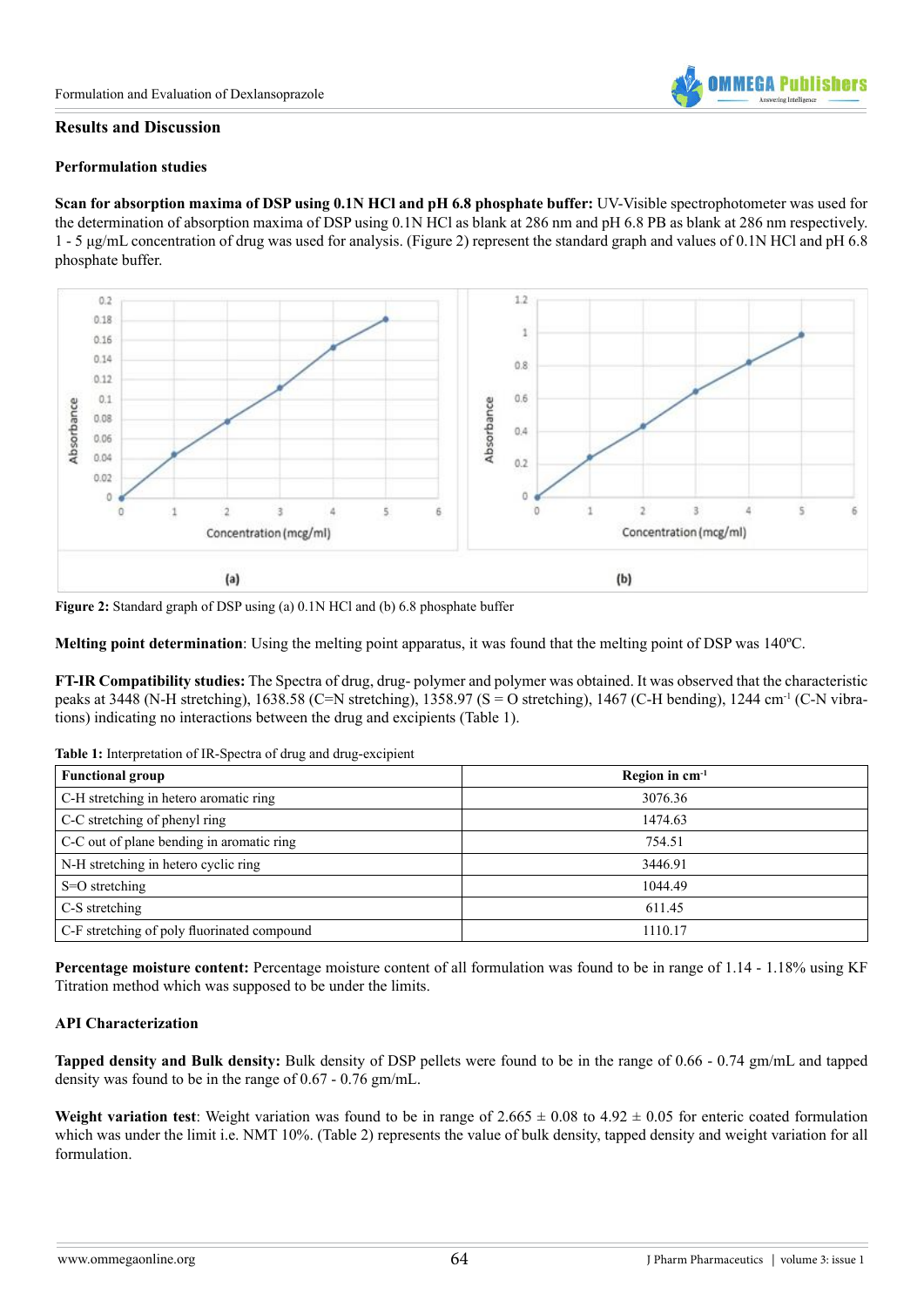

#### **Results and Discussion**

#### **Performulation studies**

**Scan for absorption maxima of DSP using 0.1N HCl and pH 6.8 phosphate buffer:** UV-Visible spectrophotometer was used for the determination of absorption maxima of DSP using 0.1N HCl as blank at 286 nm and pH 6.8 PB as blank at 286 nm respectively. 1 - 5 μg/mL concentration of drug was used for analysis. (Figure 2) represent the standard graph and values of 0.1N HCl and pH 6.8 phosphate buffer.



**Figure 2:** Standard graph of DSP using (a) 0.1N HCl and (b) 6.8 phosphate buffer

**Melting point determination**: Using the melting point apparatus, it was found that the melting point of DSP was 140ºC.

**FT-IR Compatibility studies:** The Spectra of drug, drug- polymer and polymer was obtained. It was observed that the characteristic peaks at 3448 (N-H stretching), 1638.58 (C=N stretching), 1358.97 (S = O stretching), 1467 (C-H bending), 1244 cm-1 (C-N vibrations) indicating no interactions between the drug and excipients (Table 1).

**Table 1:** Interpretation of IR-Spectra of drug and drug-excipient

| <b>Functional group</b>                     | Region in $cm^{-1}$ |
|---------------------------------------------|---------------------|
| C-H stretching in hetero aromatic ring      | 3076.36             |
| C-C stretching of phenyl ring               | 1474.63             |
| C-C out of plane bending in aromatic ring   | 754.51              |
| N-H stretching in hetero cyclic ring        | 3446.91             |
| S=O stretching                              | 1044.49             |
| C-S stretching                              | 611.45              |
| C-F stretching of poly fluorinated compound | 1110.17             |

**Percentage moisture content:** Percentage moisture content of all formulation was found to be in range of 1.14 - 1.18% using KF Titration method which was supposed to be under the limits.

# **API Characterization**

**Tapped density and Bulk density:** Bulk density of DSP pellets were found to be in the range of 0.66 - 0.74 gm/mL and tapped density was found to be in the range of 0.67 - 0.76 gm/mL.

**Weight variation test**: Weight variation was found to be in range of  $2.665 \pm 0.08$  to  $4.92 \pm 0.05$  for enteric coated formulation which was under the limit i.e. NMT 10%. (Table 2) represents the value of bulk density, tapped density and weight variation for all formulation.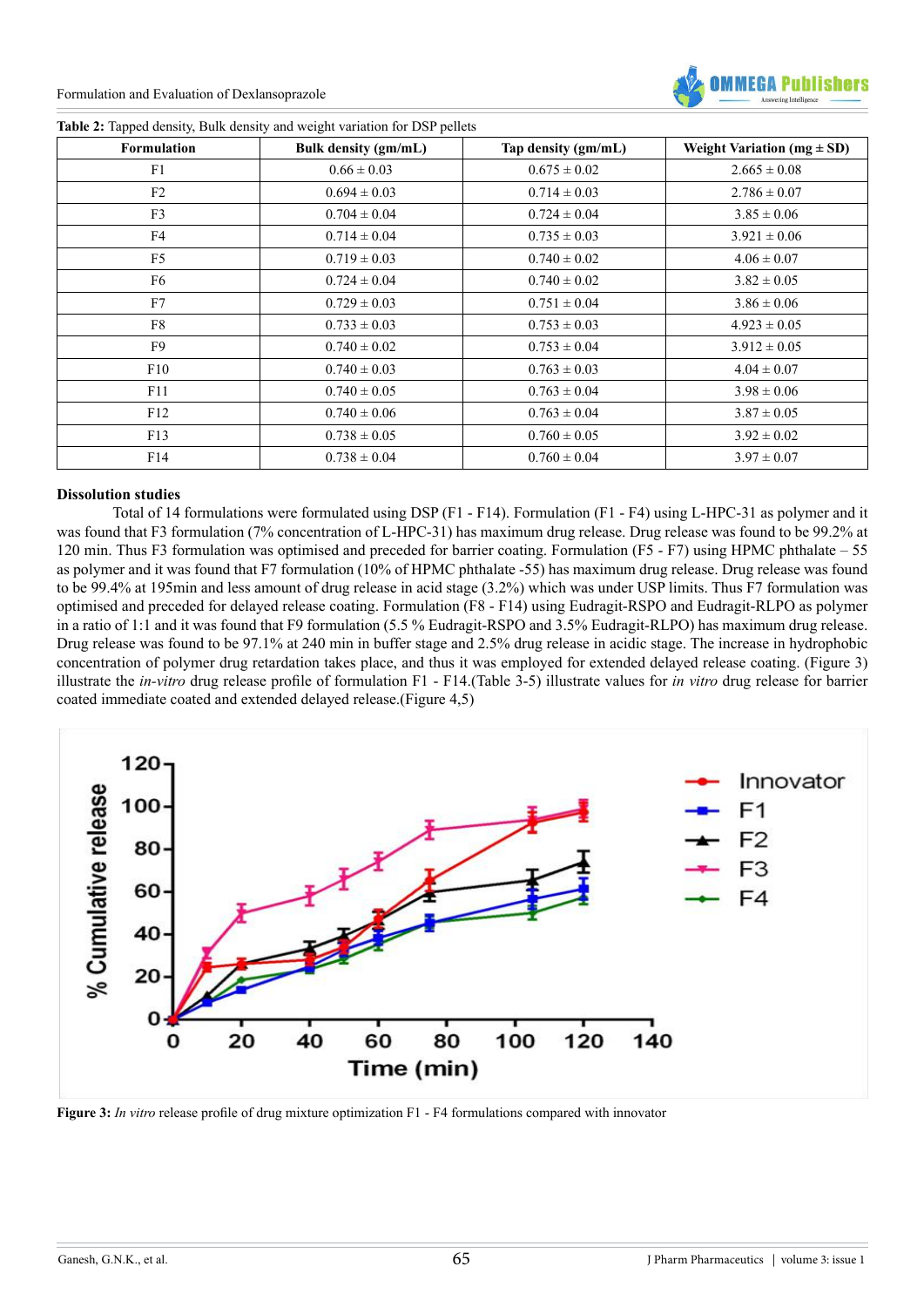

|  |  |  | Table 2: Tapped density, Bulk density and weight variation for DSP pellets |  |  |
|--|--|--|----------------------------------------------------------------------------|--|--|
|  |  |  |                                                                            |  |  |

| <b>Formulation</b> | Bulk density (gm/mL) | Tap density (gm/mL) | Weight Variation ( $mg \pm SD$ ) |
|--------------------|----------------------|---------------------|----------------------------------|
| F1                 | $0.66 \pm 0.03$      | $0.675 \pm 0.02$    | $2.665 \pm 0.08$                 |
| F2                 | $0.694 \pm 0.03$     | $0.714 \pm 0.03$    | $2.786 \pm 0.07$                 |
| F3                 | $0.704 \pm 0.04$     | $0.724 \pm 0.04$    | $3.85 \pm 0.06$                  |
| F4                 | $0.714 \pm 0.04$     | $0.735 \pm 0.03$    | $3.921 \pm 0.06$                 |
| F <sub>5</sub>     | $0.719 \pm 0.03$     | $0.740 \pm 0.02$    | $4.06 \pm 0.07$                  |
| F6                 | $0.724 \pm 0.04$     | $0.740 \pm 0.02$    | $3.82 \pm 0.05$                  |
| F7                 | $0.729 \pm 0.03$     | $0.751 \pm 0.04$    | $3.86 \pm 0.06$                  |
| F8                 | $0.733 \pm 0.03$     | $0.753 \pm 0.03$    | $4.923 \pm 0.05$                 |
| F9                 | $0.740 \pm 0.02$     | $0.753 \pm 0.04$    | $3.912 \pm 0.05$                 |
| F10                | $0.740 \pm 0.03$     | $0.763 \pm 0.03$    | $4.04 \pm 0.07$                  |
| F11                | $0.740 \pm 0.05$     | $0.763 \pm 0.04$    | $3.98 \pm 0.06$                  |
| F12                | $0.740 \pm 0.06$     | $0.763 \pm 0.04$    | $3.87 \pm 0.05$                  |
| F13                | $0.738 \pm 0.05$     | $0.760 \pm 0.05$    | $3.92 \pm 0.02$                  |
| F14                | $0.738 \pm 0.04$     | $0.760 \pm 0.04$    | $3.97 \pm 0.07$                  |

#### **Dissolution studies**

Total of 14 formulations were formulated using DSP (F1 - F14). Formulation (F1 - F4) using L-HPC-31 as polymer and it was found that F3 formulation (7% concentration of L-HPC-31) has maximum drug release. Drug release was found to be 99.2% at 120 min. Thus F3 formulation was optimised and preceded for barrier coating. Formulation (F5 - F7) using HPMC phthalate – 55 as polymer and it was found that F7 formulation (10% of HPMC phthalate -55) has maximum drug release. Drug release was found to be 99.4% at 195min and less amount of drug release in acid stage (3.2%) which was under USP limits. Thus F7 formulation was optimised and preceded for delayed release coating. Formulation (F8 - F14) using Eudragit-RSPO and Eudragit-RLPO as polymer in a ratio of 1:1 and it was found that F9 formulation (5.5 % Eudragit-RSPO and 3.5% Eudragit-RLPO) has maximum drug release. Drug release was found to be 97.1% at 240 min in buffer stage and 2.5% drug release in acidic stage. The increase in hydrophobic concentration of polymer drug retardation takes place, and thus it was employed for extended delayed release coating. (Figure 3) illustrate the *in-vitro* drug release profile of formulation F1 - F14.(Table 3-5) illustrate values for *in vitro* drug release for barrier coated immediate coated and extended delayed release.(Figure 4,5)



**Figure 3:** *In vitro* release profile of drug mixture optimization F1 - F4 formulations compared with innovator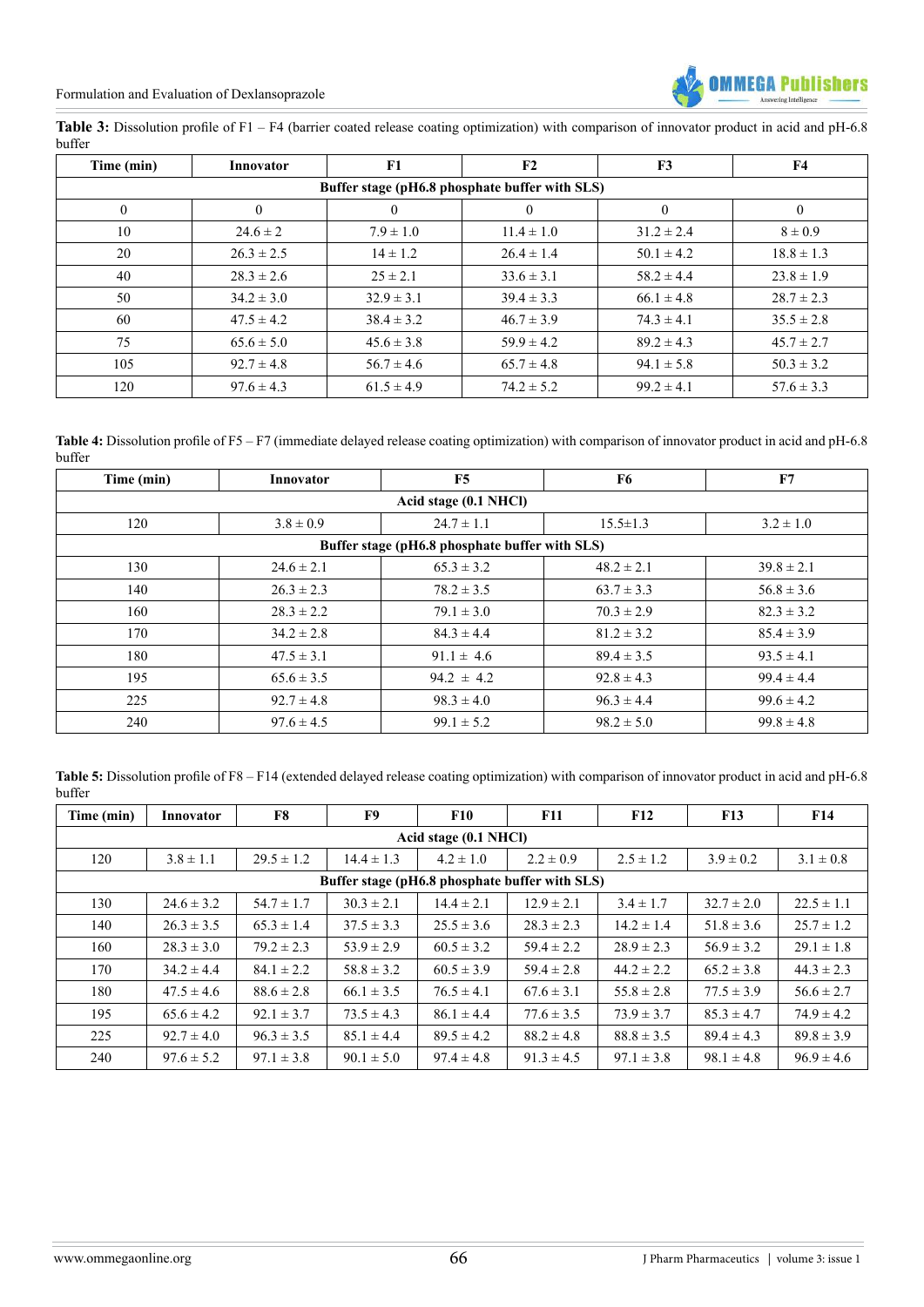

Table 3: Dissolution profile of F1 – F4 (barrier coated release coating optimization) with comparison of innovator product in acid and pH-6.8 buffer

| Time (min)                                     | Innovator      | F1             | F2             | F3             | <b>F4</b>      |  |  |  |  |
|------------------------------------------------|----------------|----------------|----------------|----------------|----------------|--|--|--|--|
| Buffer stage (pH6.8 phosphate buffer with SLS) |                |                |                |                |                |  |  |  |  |
| $\bf{0}$                                       | $\overline{0}$ | $\theta$       |                | $\overline{0}$ | $\overline{0}$ |  |  |  |  |
| 10                                             | $24.6 \pm 2$   | $7.9 \pm 1.0$  | $11.4 \pm 1.0$ | $31.2 \pm 2.4$ | $8 \pm 0.9$    |  |  |  |  |
| 20                                             | $26.3 \pm 2.5$ | $14 \pm 1.2$   | $26.4 \pm 1.4$ | $50.1 \pm 4.2$ | $18.8 \pm 1.3$ |  |  |  |  |
| 40                                             | $28.3 \pm 2.6$ | $25 \pm 2.1$   | $33.6 \pm 3.1$ | $58.2 \pm 4.4$ | $23.8 \pm 1.9$ |  |  |  |  |
| 50                                             | $34.2 \pm 3.0$ | $32.9 \pm 3.1$ | $39.4 \pm 3.3$ | $66.1 \pm 4.8$ | $28.7 \pm 2.3$ |  |  |  |  |
| 60                                             | $47.5 \pm 4.2$ | $38.4 \pm 3.2$ | $46.7 \pm 3.9$ | $74.3 \pm 4.1$ | $35.5 \pm 2.8$ |  |  |  |  |
| 75                                             | $65.6 \pm 5.0$ | $45.6 \pm 3.8$ | $59.9 \pm 4.2$ | $89.2 \pm 4.3$ | $45.7 \pm 2.7$ |  |  |  |  |
| 105                                            | $92.7 \pm 4.8$ | $56.7 \pm 4.6$ | $65.7 \pm 4.8$ | $94.1 \pm 5.8$ | $50.3 \pm 3.2$ |  |  |  |  |
| 120                                            | $97.6 \pm 4.3$ | $61.5 \pm 4.9$ | $74.2 \pm 5.2$ | $99.2 \pm 4.1$ | $57.6 \pm 3.3$ |  |  |  |  |

**Table 4:** Dissolution profile of F5 – F7 (immediate delayed release coating optimization) with comparison of innovator product in acid and pH-6.8 buffer

| Time (min)            | Innovator                                      | F5             | F6             | F7             |  |  |  |  |  |
|-----------------------|------------------------------------------------|----------------|----------------|----------------|--|--|--|--|--|
| Acid stage (0.1 NHCl) |                                                |                |                |                |  |  |  |  |  |
| 120                   | $3.8 \pm 0.9$                                  | $24.7 \pm 1.1$ | $15.5 \pm 1.3$ | $3.2 \pm 1.0$  |  |  |  |  |  |
|                       | Buffer stage (pH6.8 phosphate buffer with SLS) |                |                |                |  |  |  |  |  |
| 130                   | $24.6 \pm 2.1$                                 | $65.3 \pm 3.2$ | $48.2 \pm 2.1$ | $39.8 \pm 2.1$ |  |  |  |  |  |
| 140                   | $26.3 \pm 2.3$                                 | $78.2 \pm 3.5$ | $63.7 \pm 3.3$ | $56.8 \pm 3.6$ |  |  |  |  |  |
| 160                   | $28.3 \pm 2.2$                                 | $79.1 \pm 3.0$ | $70.3 \pm 2.9$ | $82.3 \pm 3.2$ |  |  |  |  |  |
| 170                   | $34.2 \pm 2.8$                                 | $84.3 \pm 4.4$ | $81.2 \pm 3.2$ | $85.4 \pm 3.9$ |  |  |  |  |  |
| 180                   | $47.5 \pm 3.1$                                 | $91.1 \pm 4.6$ | $89.4 \pm 3.5$ | $93.5 \pm 4.1$ |  |  |  |  |  |
| 195                   | $65.6 \pm 3.5$                                 | $94.2 \pm 4.2$ | $92.8 \pm 4.3$ | $99.4 \pm 4.4$ |  |  |  |  |  |
| 225                   | $92.7 \pm 4.8$                                 | $98.3 \pm 4.0$ | $96.3 \pm 4.4$ | $99.6 \pm 4.2$ |  |  |  |  |  |
| 240                   | $97.6 \pm 4.5$                                 | $99.1 \pm 5.2$ | $98.2 \pm 5.0$ | $99.8 \pm 4.8$ |  |  |  |  |  |

Table 5: Dissolution profile of F8 – F14 (extended delayed release coating optimization) with comparison of innovator product in acid and pH-6.8 buffer

| Time (min)            | Innovator                                      | F8             | F9             | <b>F10</b>     | <b>F11</b>     | F12            | <b>F13</b>     | F14            |  |  |
|-----------------------|------------------------------------------------|----------------|----------------|----------------|----------------|----------------|----------------|----------------|--|--|
| Acid stage (0.1 NHCl) |                                                |                |                |                |                |                |                |                |  |  |
| 120                   | $3.8 \pm 1.1$                                  | $29.5 \pm 1.2$ | $14.4 \pm 1.3$ | $4.2 \pm 1.0$  | $2.2 \pm 0.9$  | $2.5 \pm 1.2$  | $3.9 \pm 0.2$  | $3.1 \pm 0.8$  |  |  |
|                       | Buffer stage (pH6.8 phosphate buffer with SLS) |                |                |                |                |                |                |                |  |  |
| 130                   | $24.6 \pm 3.2$                                 | $54.7 \pm 1.7$ | $30.3 \pm 2.1$ | $14.4 \pm 2.1$ | $12.9 \pm 2.1$ | $3.4 \pm 1.7$  | $32.7 \pm 2.0$ | $22.5 \pm 1.1$ |  |  |
| 140                   | $26.3 \pm 3.5$                                 | $65.3 \pm 1.4$ | $37.5 \pm 3.3$ | $25.5 \pm 3.6$ | $28.3 \pm 2.3$ | $14.2 \pm 1.4$ | $51.8 \pm 3.6$ | $25.7 \pm 1.2$ |  |  |
| 160                   | $28.3 \pm 3.0$                                 | $79.2 \pm 2.3$ | $53.9 \pm 2.9$ | $60.5 \pm 3.2$ | $59.4 \pm 2.2$ | $28.9 \pm 2.3$ | $56.9 \pm 3.2$ | $29.1 \pm 1.8$ |  |  |
| 170                   | $34.2 \pm 4.4$                                 | $84.1 \pm 2.2$ | $58.8 \pm 3.2$ | $60.5 \pm 3.9$ | $59.4 \pm 2.8$ | $44.2 \pm 2.2$ | $65.2 \pm 3.8$ | $44.3 \pm 2.3$ |  |  |
| 180                   | $47.5 \pm 4.6$                                 | $88.6 \pm 2.8$ | $66.1 \pm 3.5$ | $76.5 \pm 4.1$ | $67.6 \pm 3.1$ | $55.8 \pm 2.8$ | $77.5 \pm 3.9$ | $56.6 \pm 2.7$ |  |  |
| 195                   | $65.6 \pm 4.2$                                 | $92.1 \pm 3.7$ | $73.5 \pm 4.3$ | $86.1 \pm 4.4$ | $77.6 \pm 3.5$ | $73.9 \pm 3.7$ | $85.3 \pm 4.7$ | $74.9 \pm 4.2$ |  |  |
| 225                   | $92.7 \pm 4.0$                                 | $96.3 \pm 3.5$ | $85.1 \pm 4.4$ | $89.5 \pm 4.2$ | $88.2 \pm 4.8$ | $88.8 \pm 3.5$ | $89.4 \pm 4.3$ | $89.8 \pm 3.9$ |  |  |
| 240                   | $97.6 \pm 5.2$                                 | $97.1 \pm 3.8$ | $90.1 \pm 5.0$ | $97.4 \pm 4.8$ | $91.3 \pm 4.5$ | $97.1 \pm 3.8$ | $98.1 \pm 4.8$ | $96.9 \pm 4.6$ |  |  |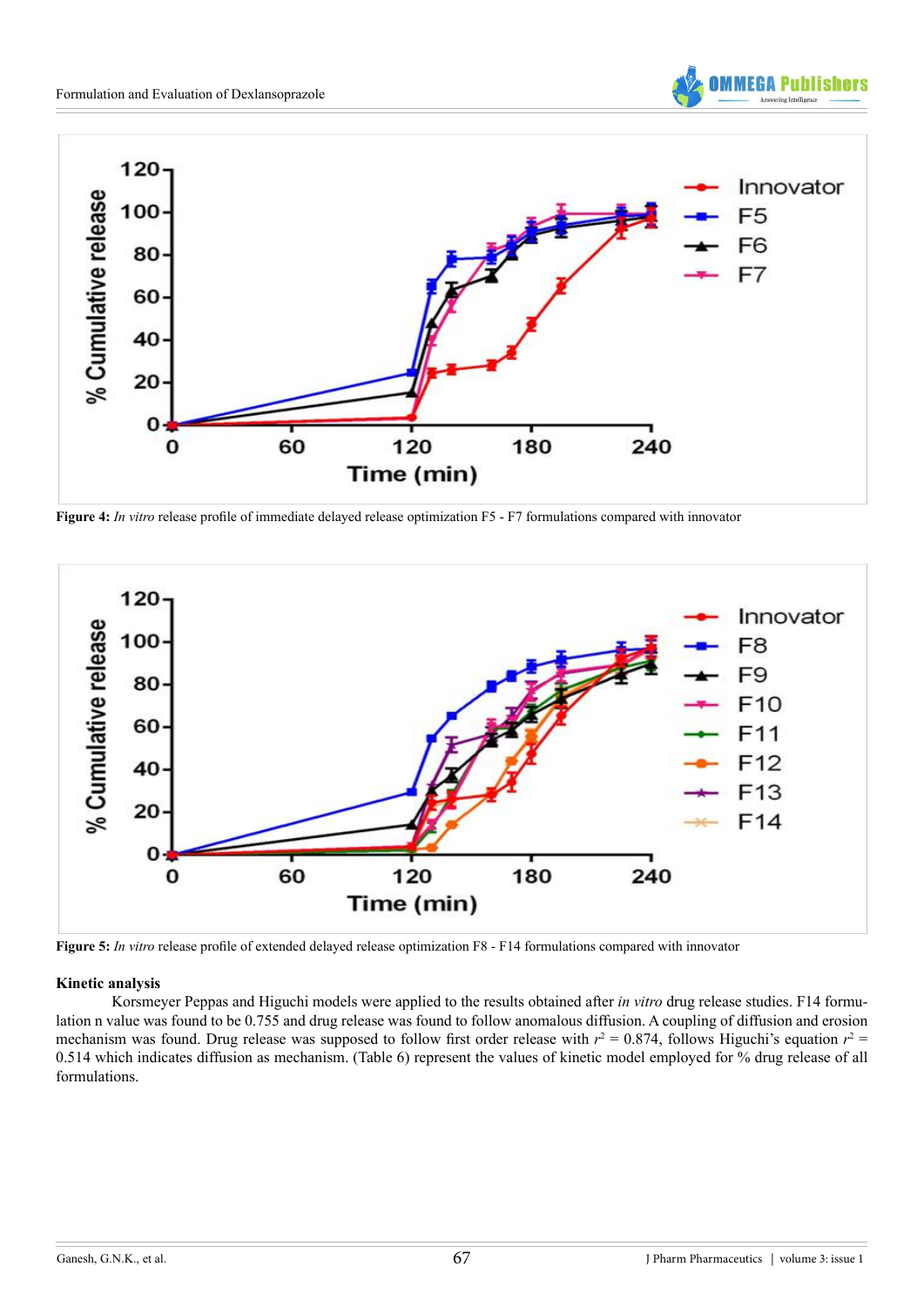



**Figure 4:** *In vitro* release profile of immediate delayed release optimization F5 - F7 formulations compared with innovator



**Figure 5:** *In vitro* release profile of extended delayed release optimization F8 - F14 formulations compared with innovator

#### **Kinetic analysis**

Korsmeyer Peppas and Higuchi models were applied to the results obtained after *in vitro* drug release studies. F14 formulation n value was found to be 0.755 and drug release was found to follow anomalous diffusion. A coupling of diffusion and erosion mechanism was found. Drug release was supposed to follow first order release with  $r^2 = 0.874$ , follows Higuchi's equation  $r^2 =$ 0.514 which indicates diffusion as mechanism. (Table 6) represent the values of kinetic model employed for % drug release of all formulations.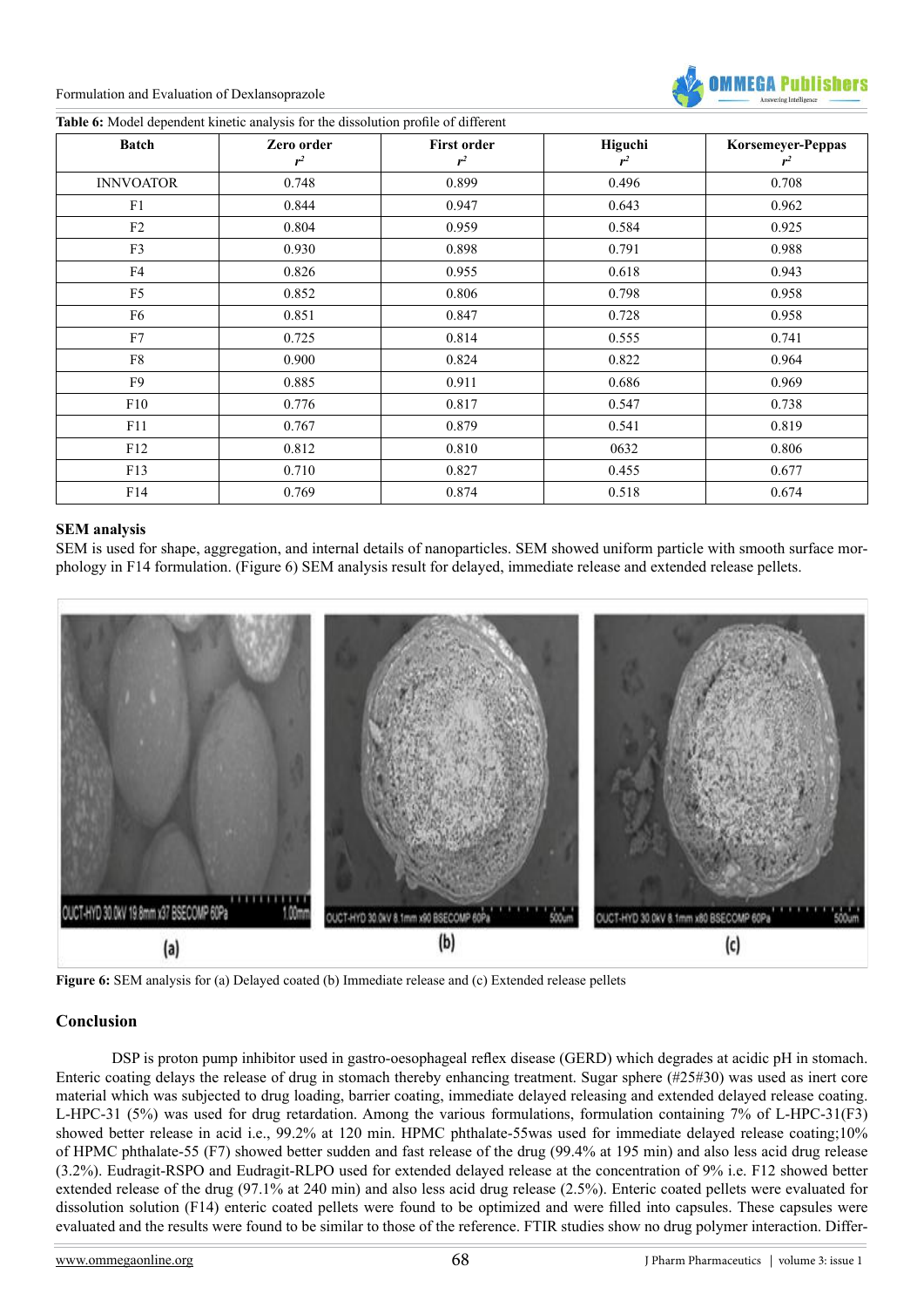

**Table 6:** Model dependent kinetic analysis for the dissolution profile of different

| <b>Batch</b>     | Zero order<br>$r^2$ | <b>First order</b><br>$r^2$ | Higuchi<br>$r^2$ | Korsemeyer-Peppas<br>$r^2$ |
|------------------|---------------------|-----------------------------|------------------|----------------------------|
| <b>INNVOATOR</b> | 0.748               | 0.899                       | 0.496            | 0.708                      |
| F1               | 0.844               | 0.947                       | 0.643            | 0.962                      |
| $\rm F2$         | 0.804               | 0.959                       | 0.584            | 0.925                      |
| F3               | 0.930               | 0.898                       | 0.791            | 0.988                      |
| F4               | 0.826               | 0.955                       | 0.618            | 0.943                      |
| F <sub>5</sub>   | 0.852               | 0.806                       | 0.798            | 0.958                      |
| F6               | 0.851               | 0.847                       | 0.728            | 0.958                      |
| F7               | 0.725               | 0.814                       | 0.555            | 0.741                      |
| F8               | 0.900               | 0.824                       | 0.822            | 0.964                      |
| F9               | 0.885               | 0.911                       | 0.686            | 0.969                      |
| F10              | 0.776               | 0.817                       | 0.547            | 0.738                      |
| F11              | 0.767               | 0.879                       | 0.541            | 0.819                      |
| F12              | 0.812               | 0.810                       | 0632             | 0.806                      |
| F13              | 0.710               | 0.827                       | 0.455            | 0.677                      |
| F14              | 0.769               | 0.874                       | 0.518            | 0.674                      |

#### **SEM analysis**

SEM is used for shape, aggregation, and internal details of nanoparticles. SEM showed uniform particle with smooth surface morphology in F14 formulation. (Figure 6) SEM analysis result for delayed, immediate release and extended release pellets.



**Figure 6:** SEM analysis for (a) Delayed coated (b) Immediate release and (c) Extended release pellets

# **Conclusion**

DSP is proton pump inhibitor used in gastro-oesophageal reflex disease (GERD) which degrades at acidic pH in stomach. Enteric coating delays the release of drug in stomach thereby enhancing treatment. Sugar sphere (#25#30) was used as inert core material which was subjected to drug loading, barrier coating, immediate delayed releasing and extended delayed release coating. L-HPC-31 (5%) was used for drug retardation. Among the various formulations, formulation containing 7% of L-HPC-31(F3) showed better release in acid i.e., 99.2% at 120 min. HPMC phthalate-55was used for immediate delayed release coating;10% of HPMC phthalate-55 (F7) showed better sudden and fast release of the drug (99.4% at 195 min) and also less acid drug release (3.2%). Eudragit-RSPO and Eudragit-RLPO used for extended delayed release at the concentration of 9% i.e. F12 showed better extended release of the drug (97.1% at 240 min) and also less acid drug release (2.5%). Enteric coated pellets were evaluated for dissolution solution (F14) enteric coated pellets were found to be optimized and were filled into capsules. These capsules were evaluated and the results were found to be similar to those of the reference. FTIR studies show no drug polymer interaction. Differ-